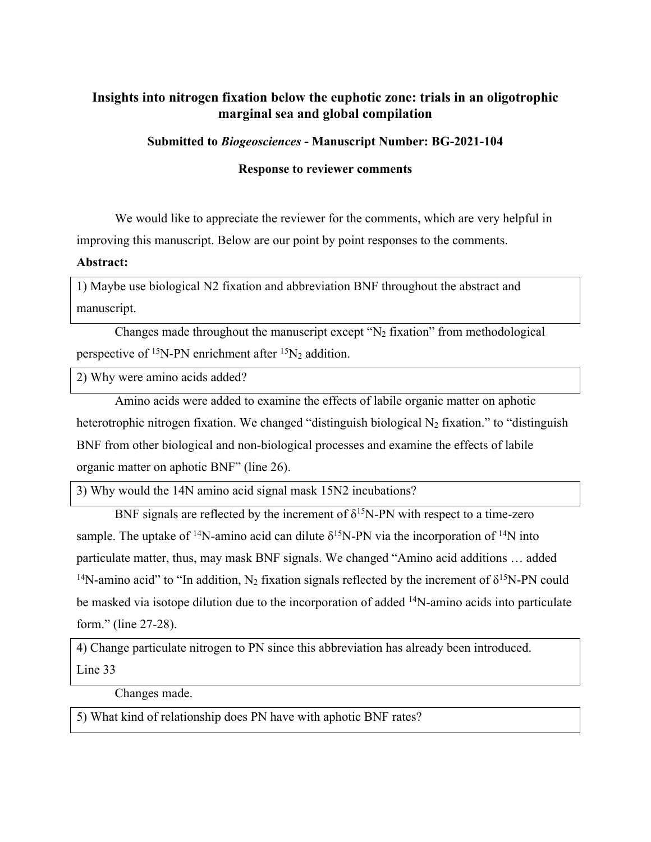# **Insights into nitrogen fixation below the euphotic zone: trials in an oligotrophic marginal sea and global compilation**

**Submitted to** *Biogeosciences* **- Manuscript Number: BG-2021-104**

**Response to reviewer comments**

We would like to appreciate the reviewer for the comments, which are very helpful in improving this manuscript. Below are our point by point responses to the comments.

**Abstract:**

1) Maybe use biological N2 fixation and abbreviation BNF throughout the abstract and manuscript.

Changes made throughout the manuscript except  $\gamma$ <sup>2</sup> fixation" from methodological perspective of  $^{15}N$ -PN enrichment after  $^{15}N_2$  addition.

2) Why were amino acids added?

Amino acids were added to examine the effects of labile organic matter on aphotic heterotrophic nitrogen fixation. We changed "distinguish biological  $N_2$  fixation." to "distinguish" BNF from other biological and non-biological processes and examine the effects of labile organic matter on aphotic BNF" (line 26).

3) Why would the 14N amino acid signal mask 15N2 incubations?

BNF signals are reflected by the increment of  $\delta^{15}$ N-PN with respect to a time-zero sample. The uptake of <sup>14</sup>N-amino acid can dilute  $\delta^{15}$ N-PN via the incorporation of <sup>14</sup>N into particulate matter, thus, may mask BNF signals. We changed "Amino acid additions … added <sup>14</sup>N-amino acid" to "In addition, N<sub>2</sub> fixation signals reflected by the increment of  $\delta^{15}N-PN$  could be masked via isotope dilution due to the incorporation of added <sup>14</sup>N-amino acids into particulate form." (line 27-28).

4) Change particulate nitrogen to PN since this abbreviation has already been introduced. Line 33

Changes made.

5) What kind of relationship does PN have with aphotic BNF rates?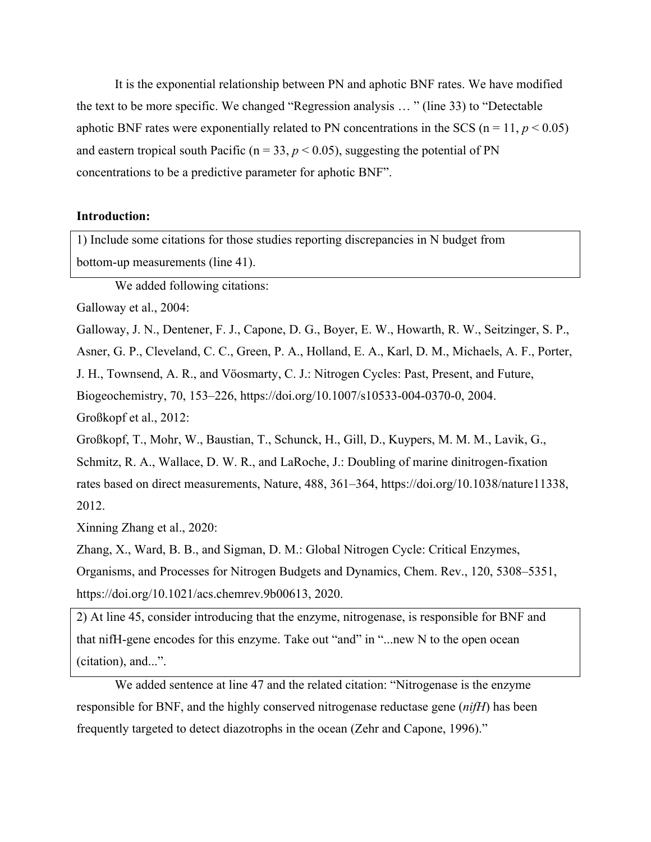It is the exponential relationship between PN and aphotic BNF rates. We have modified the text to be more specific. We changed "Regression analysis … " (line 33) to "Detectable aphotic BNF rates were exponentially related to PN concentrations in the SCS ( $n = 11$ ,  $p < 0.05$ ) and eastern tropical south Pacific ( $n = 33$ ,  $p < 0.05$ ), suggesting the potential of PN concentrations to be a predictive parameter for aphotic BNF".

#### **Introduction:**

1) Include some citations for those studies reporting discrepancies in N budget from bottom-up measurements (line 41).

We added following citations:

Galloway et al., 2004:

Galloway, J. N., Dentener, F. J., Capone, D. G., Boyer, E. W., Howarth, R. W., Seitzinger, S. P.,

Asner, G. P., Cleveland, C. C., Green, P. A., Holland, E. A., Karl, D. M., Michaels, A. F., Porter,

J. H., Townsend, A. R., and Vöosmarty, C. J.: Nitrogen Cycles: Past, Present, and Future,

Biogeochemistry, 70, 153–226, https://doi.org/10.1007/s10533-004-0370-0, 2004.

Großkopf et al., 2012:

Großkopf, T., Mohr, W., Baustian, T., Schunck, H., Gill, D., Kuypers, M. M. M., Lavik, G.,

Schmitz, R. A., Wallace, D. W. R., and LaRoche, J.: Doubling of marine dinitrogen-fixation rates based on direct measurements, Nature, 488, 361–364, https://doi.org/10.1038/nature11338, 2012.

Xinning Zhang et al., 2020:

Zhang, X., Ward, B. B., and Sigman, D. M.: Global Nitrogen Cycle: Critical Enzymes, Organisms, and Processes for Nitrogen Budgets and Dynamics, Chem. Rev., 120, 5308–5351, https://doi.org/10.1021/acs.chemrev.9b00613, 2020.

2) At line 45, consider introducing that the enzyme, nitrogenase, is responsible for BNF and that nifH-gene encodes for this enzyme. Take out "and" in "...new N to the open ocean (citation), and...".

We added sentence at line 47 and the related citation: "Nitrogenase is the enzyme responsible for BNF, and the highly conserved nitrogenase reductase gene (*nifH*) has been frequently targeted to detect diazotrophs in the ocean (Zehr and Capone, 1996)."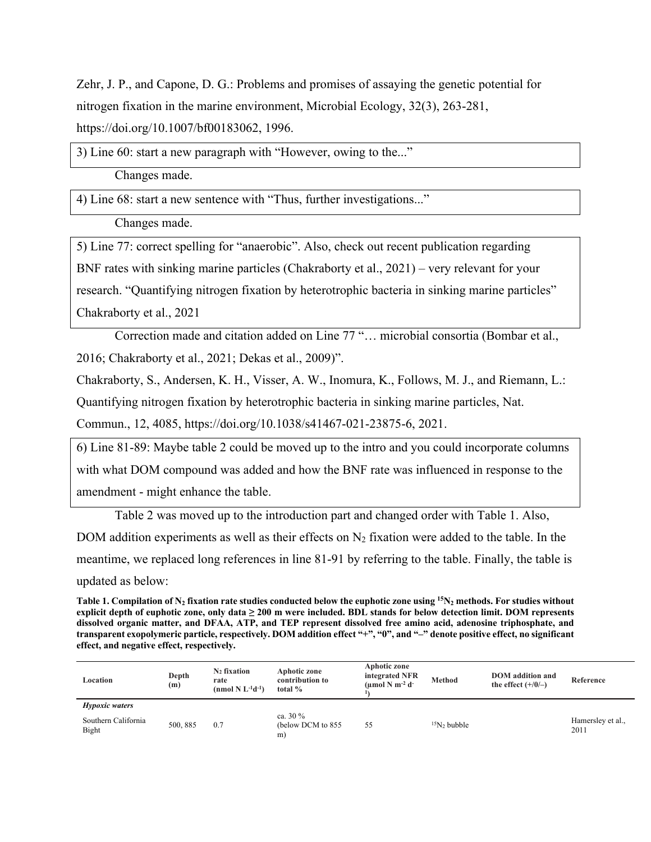Zehr, J. P., and Capone, D. G.: Problems and promises of assaying the genetic potential for nitrogen fixation in the marine environment, Microbial Ecology, 32(3), 263-281, https://doi.org/10.1007/bf00183062, 1996.

3) Line 60: start a new paragraph with "However, owing to the..."

Changes made.

4) Line 68: start a new sentence with "Thus, further investigations..."

Changes made.

5) Line 77: correct spelling for "anaerobic". Also, check out recent publication regarding BNF rates with sinking marine particles (Chakraborty et al., 2021) – very relevant for your research. "Quantifying nitrogen fixation by heterotrophic bacteria in sinking marine particles" Chakraborty et al., 2021

Correction made and citation added on Line 77 "… microbial consortia (Bombar et al., 2016; Chakraborty et al., 2021; Dekas et al., 2009)".

Chakraborty, S., Andersen, K. H., Visser, A. W., Inomura, K., Follows, M. J., and Riemann, L.:

Quantifying nitrogen fixation by heterotrophic bacteria in sinking marine particles, Nat.

Commun., 12, 4085, https://doi.org/10.1038/s41467-021-23875-6, 2021.

6) Line 81-89: Maybe table 2 could be moved up to the intro and you could incorporate columns with what DOM compound was added and how the BNF rate was influenced in response to the amendment - might enhance the table.

Table 2 was moved up to the introduction part and changed order with Table 1. Also,

DOM addition experiments as well as their effects on  $N_2$  fixation were added to the table. In the meantime, we replaced long references in line 81-91 by referring to the table. Finally, the table is updated as below:

Table 1. Compilation of N<sub>2</sub> fixation rate studies conducted below the euphotic zone using <sup>15</sup>N<sub>2</sub> methods. For studies without **explicit depth of euphotic zone, only data ≥ 200 m were included. BDL stands for below detection limit. DOM represents dissolved organic matter, and DFAA, ATP, and TEP represent dissolved free amino acid, adenosine triphosphate, and transparent exopolymeric particle, respectively. DOM addition effect "+", "0", and "–" denote positive effect, no significant effect, and negative effect, respectively.**

| Location                     | Depth<br>(m) | $N_2$ fixation<br>rate<br>(nmol N $L^{-1}d^{-1}$ ) | Aphotic zone<br>contribution to<br>total $%$ | Aphotic zone<br>integrated NFR<br>(umol N m <sup>-2</sup> d <sup>-</sup> | Method        | <b>DOM</b> addition and<br>the effect $(+/0/-)$ | Reference                 |
|------------------------------|--------------|----------------------------------------------------|----------------------------------------------|--------------------------------------------------------------------------|---------------|-------------------------------------------------|---------------------------|
| <i>Hypoxic waters</i>        |              |                                                    |                                              |                                                                          |               |                                                 |                           |
| Southern California<br>Bight | 500, 885     | 0.7                                                | ca. $30\%$<br>(below DCM to 855)<br>m        | 55                                                                       | $15N2$ bubble |                                                 | Hamersley et al.,<br>2011 |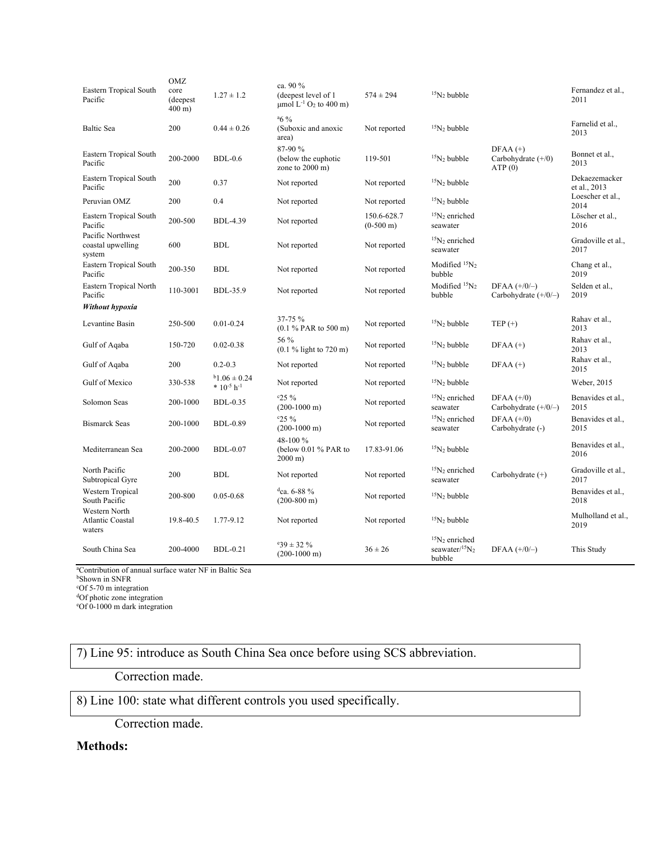| Eastern Tropical South<br>Pacific                | OMZ<br>core<br>(deepest)<br>$400 \text{ m}$ ) | $1.27 \pm 1.2$                           | ca. 90 %<br>(deepest level of 1<br>$\mu$ mol L <sup>-1</sup> O <sub>2</sub> to 400 m) | $574 \pm 294$                      | $15N2$ bubble                                       |                                              | Fernandez et al.,<br>2011     |
|--------------------------------------------------|-----------------------------------------------|------------------------------------------|---------------------------------------------------------------------------------------|------------------------------------|-----------------------------------------------------|----------------------------------------------|-------------------------------|
| Baltic Sea                                       | 200                                           | $0.44 \pm 0.26$                          | $46\%$<br>(Suboxic and anoxic<br>area)                                                | Not reported                       | $15N2$ bubble                                       |                                              | Farnelid et al.,<br>2013      |
| Eastern Tropical South<br>Pacific                | 200-2000                                      | $BDL-0.6$                                | 87-90 %<br>(below the euphotic<br>zone to 2000 m)                                     | 119-501                            | $15N2$ bubble                                       | $DFAA (+)$<br>Carbohydrate $(+/0)$<br>ATP(0) | Bonnet et al.,<br>2013        |
| Eastern Tropical South<br>Pacific                | 200                                           | 0.37                                     | Not reported                                                                          | Not reported                       | $15N2$ bubble                                       |                                              | Dekaezemacker<br>et al., 2013 |
| Peruvian OMZ                                     | 200                                           | 0.4                                      | Not reported                                                                          | Not reported                       | $15N2$ bubble                                       |                                              | Loescher et al.,<br>2014      |
| Eastern Tropical South<br>Pacific                | 200-500                                       | <b>BDL-4.39</b>                          | Not reported                                                                          | 150.6-628.7<br>$(0-500 \text{ m})$ | $15N2$ enriched<br>seawater                         |                                              | Löscher et al.,<br>2016       |
| Pacific Northwest<br>coastal upwelling<br>system | 600                                           | <b>BDL</b>                               | Not reported                                                                          | Not reported                       | $15N2$ enriched<br>seawater                         |                                              | Gradoville et al.,<br>2017    |
| Eastern Tropical South<br>Pacific                | 200-350                                       | <b>BDL</b>                               | Not reported                                                                          | Not reported                       | Modified <sup>15</sup> N <sub>2</sub><br>bubble     |                                              | Chang et al.,<br>2019         |
| Eastern Tropical North<br>Pacific                | 110-3001                                      | <b>BDL-35.9</b>                          | Not reported                                                                          | Not reported                       | Modified ${}^{15}N_2$<br>bubble                     | DFAA $(+/0/-)$<br>Carbohydrate $(+/0/-)$     | Selden et al.,<br>2019        |
| Without hypoxia                                  |                                               |                                          |                                                                                       |                                    |                                                     |                                              |                               |
| Levantine Basin                                  | 250-500                                       | $0.01 - 0.24$                            | 37-75 %<br>(0.1 % PAR to 500 m)                                                       | Not reported                       | $15N2$ bubble                                       | TEP $(+)$                                    | Rahav et al.,<br>2013         |
| Gulf of Aqaba                                    | 150-720                                       | $0.02 - 0.38$                            | 56 %<br>$(0.1 %$ light to 720 m)                                                      | Not reported                       | ${}^{15}N_2$ bubble                                 | $DFAA (+)$                                   | Rahav et al.,<br>2013         |
| Gulf of Aqaba                                    | 200                                           | $0.2 - 0.3$                              | Not reported                                                                          | Not reported                       | $15N_2$ bubble                                      | $DFAA (+)$                                   | Rahav et al.,<br>2015         |
| Gulf of Mexico                                   | 330-538                                       | $b$ 1.06 $\pm$ 0.24<br>$*10^{-5} h^{-1}$ | Not reported                                                                          | Not reported                       | $15N2$ bubble                                       |                                              | Weber, 2015                   |
| Solomon Seas                                     | 200-1000                                      | <b>BDL-0.35</b>                          | c25%<br>$(200-1000 \text{ m})$                                                        | Not reported                       | ${}^{15}N_2$ enriched<br>seawater                   | DFAA $(+/0)$<br>Carbohydrate $(+/0/-)$       | Benavides et al.,<br>2015     |
| <b>Bismarck Seas</b>                             | 200-1000                                      | <b>BDL-0.89</b>                          | c25%<br>$(200-1000 \text{ m})$                                                        | Not reported                       | $15N2$ enriched<br>seawater                         | DFAA $(+/0)$<br>Carbohydrate (-)             | Benavides et al.,<br>2015     |
| Mediterranean Sea                                | 200-2000                                      | <b>BDL-0.07</b>                          | 48-100 %<br>(below 0.01 % PAR to<br>$2000 \text{ m}$                                  | 17.83-91.06                        | $15N_2$ bubble                                      |                                              | Benavides et al.,<br>2016     |
| North Pacific<br>Subtropical Gyre                | 200                                           | <b>BDL</b>                               | Not reported                                                                          | Not reported                       | ${}^{15}N_2$ enriched<br>seawater                   | Carbohydrate (+)                             | Gradoville et al.,<br>2017    |
| Western Tropical<br>South Pacific                | 200-800                                       | $0.05 - 0.68$                            | $^{d}$ ca. 6-88 %<br>$(200-800 \text{ m})$                                            | Not reported                       | $15N2$ bubble                                       |                                              | Benavides et al.,<br>2018     |
| Western North<br>Atlantic Coastal<br>waters      | 19.8-40.5                                     | 1.77-9.12                                | Not reported                                                                          | Not reported                       | $15N2$ bubble                                       |                                              | Mulholland et al.,<br>2019    |
| South China Sea                                  | 200-4000                                      | <b>BDL-0.21</b>                          | $.39 \pm 32\%$<br>$(200-1000 \text{ m})$                                              | $36 \pm 26$                        | $15N2$ enriched<br>seawater/ ${}^{15}N_2$<br>bubble | DFAA $(+/0/-)$                               | This Study                    |

a Contribution of annual surface water NF in Baltic Sea

<sup>d</sup>Of photic zone integration<br>°Of 0-1000 m dark integration

7) Line 95: introduce as South China Sea once before using SCS abbreviation.

Correction made.

# 8) Line 100: state what different controls you used specifically.

Correction made.

## **Methods:**

<sup>&</sup>lt;sup>b</sup>Shown in SNFR<br>°Of 5-70 m integration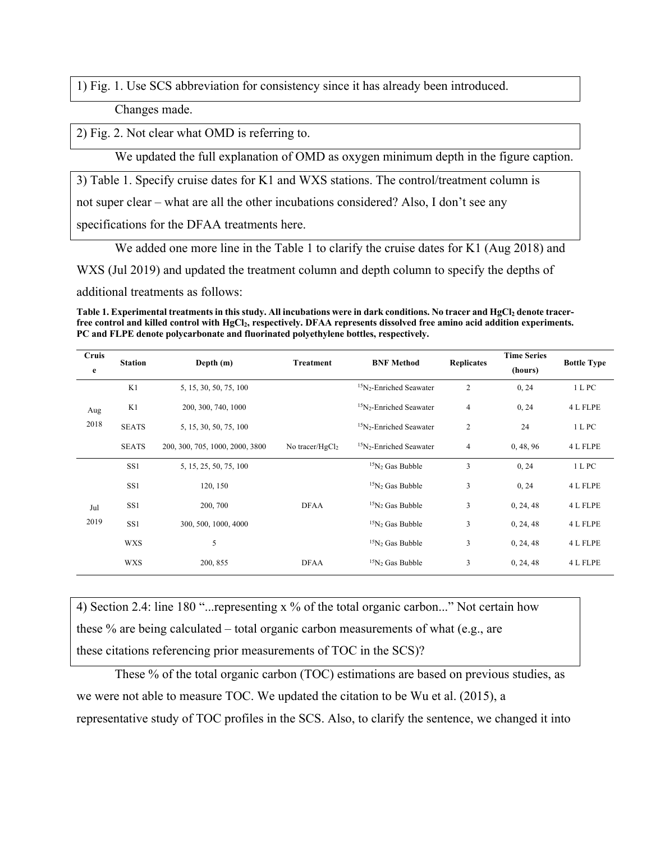1) Fig. 1. Use SCS abbreviation for consistency since it has already been introduced.

Changes made.

2) Fig. 2. Not clear what OMD is referring to.

We updated the full explanation of OMD as oxygen minimum depth in the figure caption.

3) Table 1. Specify cruise dates for K1 and WXS stations. The control/treatment column is

not super clear – what are all the other incubations considered? Also, I don't see any

specifications for the DFAA treatments here.

We added one more line in the Table 1 to clarify the cruise dates for K1 (Aug 2018) and

WXS (Jul 2019) and updated the treatment column and depth column to specify the depths of

additional treatments as follows:

Table 1. Experimental treatments in this study. All incubations were in dark conditions. No tracer and HgCl<sub>2</sub> denote tracerfree control and killed control with HgCl<sub>2</sub>, respectively. DFAA represents dissolved free amino acid addition experiments. **PC and FLPE denote polycarbonate and fluorinated polyethylene bottles, respectively.**

| Cruis<br>e  | <b>Station</b>  | Depth $(m)$                     | Treatment          | <b>BNF Method</b>                               | <b>Replicates</b> | <b>Time Series</b><br>(hours) | <b>Bottle Type</b> |
|-------------|-----------------|---------------------------------|--------------------|-------------------------------------------------|-------------------|-------------------------------|--------------------|
| Aug<br>2018 | K1              | 5, 15, 30, 50, 75, 100          |                    | <sup>15</sup> N <sub>2</sub> -Enriched Seawater | 2                 | 0, 24                         | 1 L PC             |
|             | K1              | 200, 300, 740, 1000             |                    | $15N2$ -Enriched Seawater                       | 4                 | 0, 24                         | 4 L FLPE           |
|             | <b>SEATS</b>    | 5, 15, 30, 50, 75, 100          |                    | $15$ N <sub>2</sub> -Enriched Seawater          | 2                 | 24                            | 1 L PC             |
|             | <b>SEATS</b>    | 200, 300, 705, 1000, 2000, 3800 | No tracer/ $HgCl2$ | $15N2$ -Enriched Seawater                       |                   | 0, 48, 96                     | 4 L FLPE           |
|             | SS1             | 5, 15, 25, 50, 75, 100          |                    | $15N2$ Gas Bubble                               | 3                 | 0, 24                         | 1 L PC             |
|             | SS1             | 120, 150                        |                    | $15N2$ Gas Bubble                               | 3                 | 0, 24                         | 4 L FLPE           |
| Jul         | SS <sub>1</sub> | 200, 700                        | <b>DFAA</b>        |                                                 | 3                 | 0, 24, 48                     | 4 L FLPE           |
| 2019        | SS <sub>1</sub> | 300, 500, 1000, 4000            |                    | $15N2$ Gas Bubble                               | 3                 | 0, 24, 48                     | 4 L FLPE           |
|             | <b>WXS</b>      | 5                               |                    | $15N2$ Gas Bubble                               | 3                 | 0, 24, 48                     | 4 L FLPE           |
|             | <b>WXS</b>      | 200, 855                        | <b>DFAA</b>        | $15N2$ Gas Bubble                               | 3                 | 0, 24, 48                     | 4 L FLPE           |

4) Section 2.4: line 180 "...representing x % of the total organic carbon..." Not certain how these % are being calculated – total organic carbon measurements of what (e.g., are these citations referencing prior measurements of TOC in the SCS)?

These % of the total organic carbon (TOC) estimations are based on previous studies, as we were not able to measure TOC. We updated the citation to be Wu et al. (2015), a representative study of TOC profiles in the SCS. Also, to clarify the sentence, we changed it into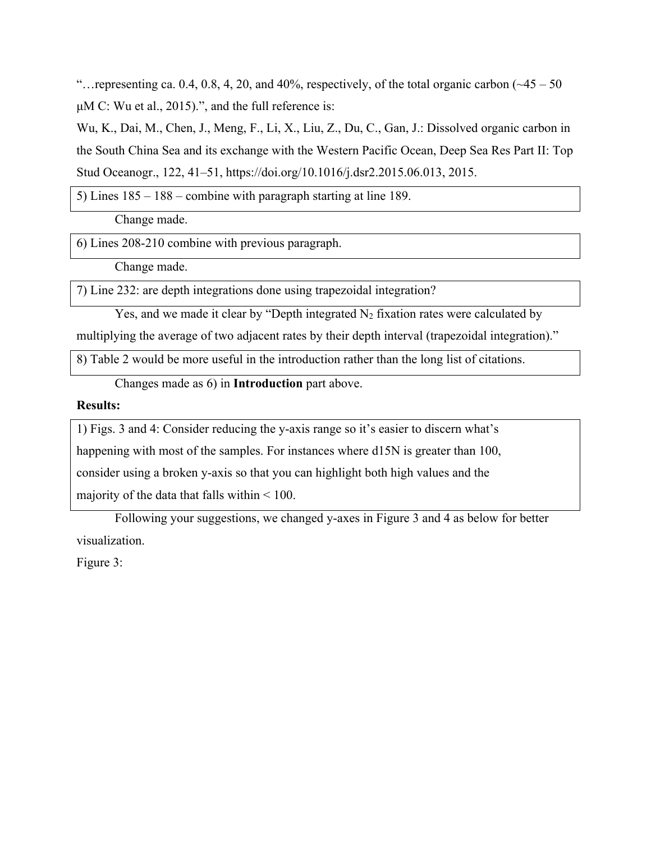"... representing ca. 0.4, 0.8, 4, 20, and 40%, respectively, of the total organic carbon  $(\sim45 - 50$ μM C: Wu et al., 2015).", and the full reference is:

Wu, K., Dai, M., Chen, J., Meng, F., Li, X., Liu, Z., Du, C., Gan, J.: Dissolved organic carbon in the South China Sea and its exchange with the Western Pacific Ocean, Deep Sea Res Part II: Top Stud Oceanogr., 122, 41–51, https://doi.org/10.1016/j.dsr2.2015.06.013, 2015.

5) Lines 185 – 188 – combine with paragraph starting at line 189.

Change made.

6) Lines 208-210 combine with previous paragraph.

Change made.

7) Line 232: are depth integrations done using trapezoidal integration?

Yes, and we made it clear by "Depth integrated  $N_2$  fixation rates were calculated by

multiplying the average of two adjacent rates by their depth interval (trapezoidal integration)."

8) Table 2 would be more useful in the introduction rather than the long list of citations.

Changes made as 6) in **Introduction** part above.

### **Results:**

1) Figs. 3 and 4: Consider reducing the y-axis range so it's easier to discern what's

happening with most of the samples. For instances where d15N is greater than 100,

consider using a broken y-axis so that you can highlight both high values and the

majority of the data that falls within < 100.

Following your suggestions, we changed y-axes in Figure 3 and 4 as below for better visualization.

Figure 3: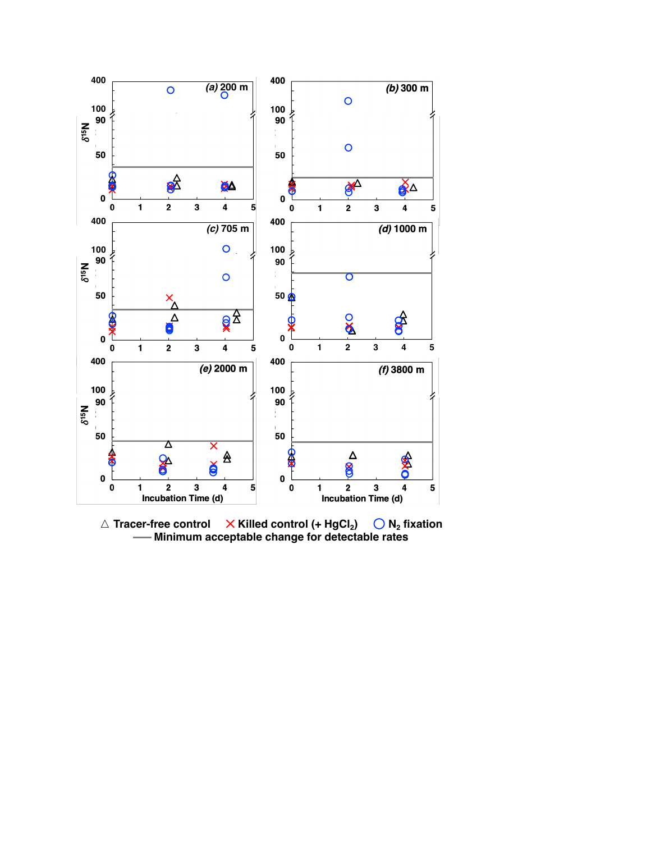

△ **Tracer-free control** × Killed control (+ HgCl<sub>2</sub>) ◯ N<sub>2</sub> fixation **Minimum acceptable change for detectable rates**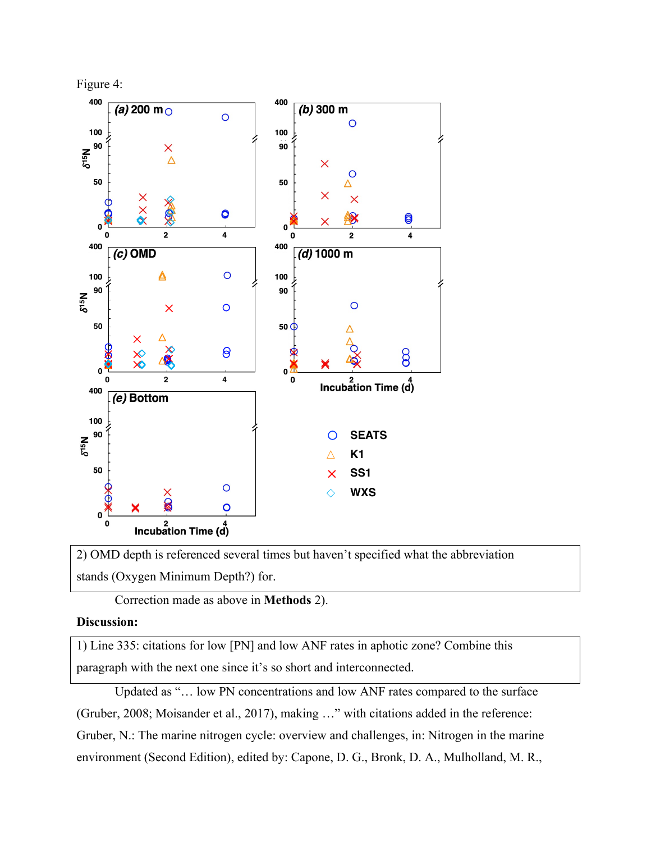

2) OMD depth is referenced several times but haven't specified what the abbreviation stands (Oxygen Minimum Depth?) for.

Correction made as above in **Methods** 2).

### **Discussion:**

1) Line 335: citations for low [PN] and low ANF rates in aphotic zone? Combine this paragraph with the next one since it's so short and interconnected.

Updated as "… low PN concentrations and low ANF rates compared to the surface (Gruber, 2008; Moisander et al., 2017), making …" with citations added in the reference: Gruber, N.: The marine nitrogen cycle: overview and challenges, in: Nitrogen in the marine environment (Second Edition), edited by: Capone, D. G., Bronk, D. A., Mulholland, M. R.,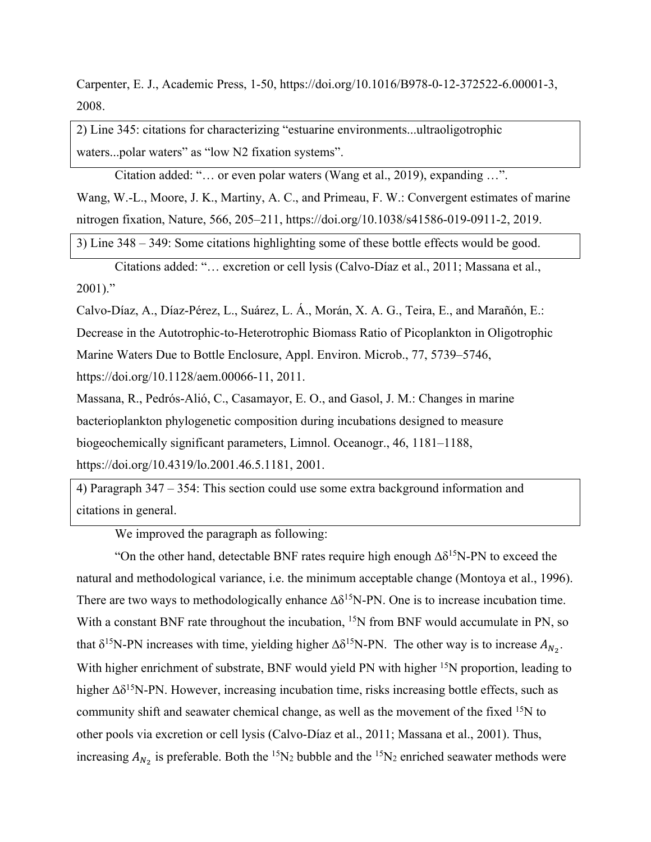Carpenter, E. J., Academic Press, 1-50, https://doi.org/10.1016/B978-0-12-372522-6.00001-3, 2008.

2) Line 345: citations for characterizing "estuarine environments...ultraoligotrophic waters...polar waters" as "low N2 fixation systems".

Citation added: "… or even polar waters (Wang et al., 2019), expanding …". Wang, W.-L., Moore, J. K., Martiny, A. C., and Primeau, F. W.: Convergent estimates of marine nitrogen fixation, Nature, 566, 205–211, https://doi.org/10.1038/s41586-019-0911-2, 2019.

3) Line 348 – 349: Some citations highlighting some of these bottle effects would be good.

Citations added: "… excretion or cell lysis (Calvo-Díaz et al., 2011; Massana et al.,  $2001$ ."

Calvo-Díaz, A., Díaz-Pérez, L., Suárez, L. Á., Morán, X. A. G., Teira, E., and Marañón, E.: Decrease in the Autotrophic-to-Heterotrophic Biomass Ratio of Picoplankton in Oligotrophic Marine Waters Due to Bottle Enclosure, Appl. Environ. Microb., 77, 5739–5746, https://doi.org/10.1128/aem.00066-11, 2011.

Massana, R., Pedrόs-Aliό, C., Casamayor, E. O., and Gasol, J. M.: Changes in marine bacterioplankton phylogenetic composition during incubations designed to measure biogeochemically significant parameters, Limnol. Oceanogr., 46, 1181–1188, https://doi.org/10.4319/lo.2001.46.5.1181, 2001.

4) Paragraph 347 – 354: This section could use some extra background information and citations in general.

We improved the paragraph as following:

"On the other hand, detectable BNF rates require high enough ∆δ15N-PN to exceed the natural and methodological variance, i.e. the minimum acceptable change (Montoya et al., 1996). There are two ways to methodologically enhance  $\Delta \delta^{15}N$ -PN. One is to increase incubation time. With a constant BNF rate throughout the incubation, <sup>15</sup>N from BNF would accumulate in PN, so that  $\delta^{15}$ N-PN increases with time, yielding higher  $\Delta \delta^{15}$ N-PN. The other way is to increase  $A_{N_2}$ . With higher enrichment of substrate, BNF would yield PN with higher <sup>15</sup>N proportion, leading to higher Δδ<sup>15</sup>N-PN. However, increasing incubation time, risks increasing bottle effects, such as community shift and seawater chemical change, as well as the movement of the fixed 15N to other pools via excretion or cell lysis (Calvo-Díaz et al., 2011; Massana et al., 2001). Thus, increasing  $A_{N_2}$  is preferable. Both the <sup>15</sup>N<sub>2</sub> bubble and the <sup>15</sup>N<sub>2</sub> enriched seawater methods were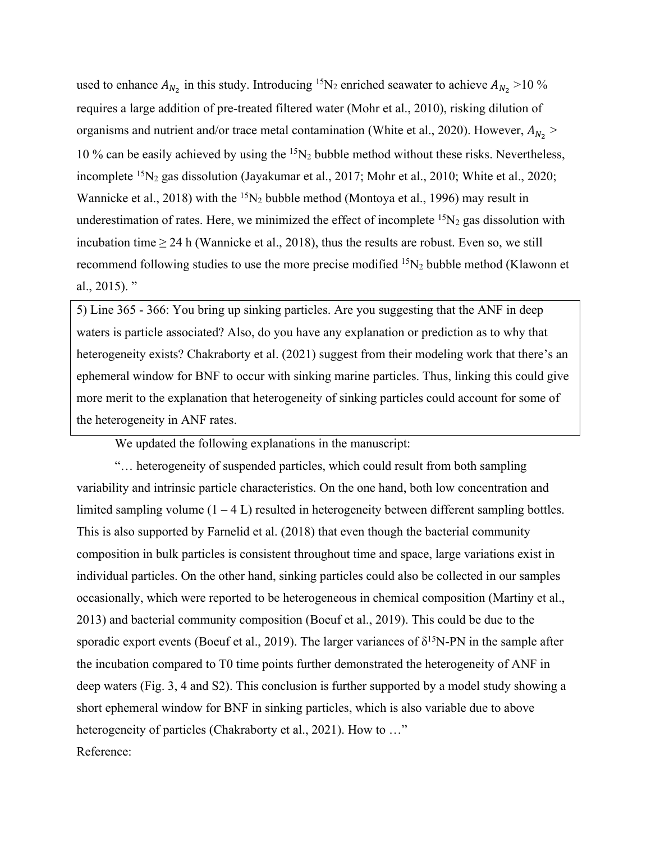used to enhance  $A_{N_2}$  in this study. Introducing <sup>15</sup>N<sub>2</sub> enriched seawater to achieve  $A_{N_2}$  >10 % requires a large addition of pre-treated filtered water (Mohr et al., 2010), risking dilution of organisms and nutrient and/or trace metal contamination (White et al., 2020). However,  $A_{N_2}$  > 10 % can be easily achieved by using the  ${}^{15}N_2$  bubble method without these risks. Nevertheless, incomplete <sup>15</sup>N<sub>2</sub> gas dissolution (Jayakumar et al., 2017; Mohr et al., 2010; White et al., 2020; Wannicke et al., 2018) with the  ${}^{15}N_2$  bubble method (Montoya et al., 1996) may result in underestimation of rates. Here, we minimized the effect of incomplete  ${}^{15}N_2$  gas dissolution with incubation time  $\geq 24$  h (Wannicke et al., 2018), thus the results are robust. Even so, we still recommend following studies to use the more precise modified  ${}^{15}N_2$  bubble method (Klawonn et al.,  $2015$ ). "

5) Line 365 - 366: You bring up sinking particles. Are you suggesting that the ANF in deep waters is particle associated? Also, do you have any explanation or prediction as to why that heterogeneity exists? Chakraborty et al. (2021) suggest from their modeling work that there's an ephemeral window for BNF to occur with sinking marine particles. Thus, linking this could give more merit to the explanation that heterogeneity of sinking particles could account for some of the heterogeneity in ANF rates.

We updated the following explanations in the manuscript:

"… heterogeneity of suspended particles, which could result from both sampling variability and intrinsic particle characteristics. On the one hand, both low concentration and limited sampling volume  $(1 - 4 L)$  resulted in heterogeneity between different sampling bottles. This is also supported by Farnelid et al. (2018) that even though the bacterial community composition in bulk particles is consistent throughout time and space, large variations exist in individual particles. On the other hand, sinking particles could also be collected in our samples occasionally, which were reported to be heterogeneous in chemical composition (Martiny et al., 2013) and bacterial community composition (Boeuf et al., 2019). This could be due to the sporadic export events (Boeuf et al., 2019). The larger variances of  $\delta^{15}N-PN$  in the sample after the incubation compared to T0 time points further demonstrated the heterogeneity of ANF in deep waters (Fig. 3, 4 and S2). This conclusion is further supported by a model study showing a short ephemeral window for BNF in sinking particles, which is also variable due to above heterogeneity of particles (Chakraborty et al., 2021). How to ..." Reference: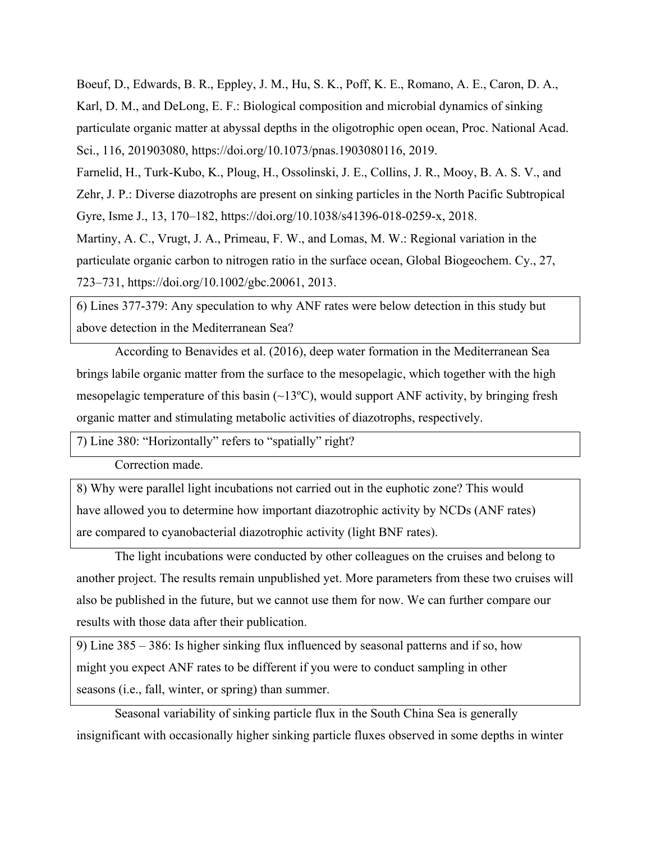Boeuf, D., Edwards, B. R., Eppley, J. M., Hu, S. K., Poff, K. E., Romano, A. E., Caron, D. A., Karl, D. M., and DeLong, E. F.: Biological composition and microbial dynamics of sinking particulate organic matter at abyssal depths in the oligotrophic open ocean, Proc. National Acad. Sci., 116, 201903080, https://doi.org/10.1073/pnas.1903080116, 2019.

Farnelid, H., Turk-Kubo, K., Ploug, H., Ossolinski, J. E., Collins, J. R., Mooy, B. A. S. V., and Zehr, J. P.: Diverse diazotrophs are present on sinking particles in the North Pacific Subtropical Gyre, Isme J., 13, 170–182, https://doi.org/10.1038/s41396-018-0259-x, 2018.

Martiny, A. C., Vrugt, J. A., Primeau, F. W., and Lomas, M. W.: Regional variation in the particulate organic carbon to nitrogen ratio in the surface ocean, Global Biogeochem. Cy., 27, 723–731, https://doi.org/10.1002/gbc.20061, 2013.

6) Lines 377-379: Any speculation to why ANF rates were below detection in this study but above detection in the Mediterranean Sea?

According to Benavides et al. (2016), deep water formation in the Mediterranean Sea brings labile organic matter from the surface to the mesopelagic, which together with the high mesopelagic temperature of this basin  $(\sim 13^{\circ}C)$ , would support ANF activity, by bringing fresh organic matter and stimulating metabolic activities of diazotrophs, respectively.

7) Line 380: "Horizontally" refers to "spatially" right?

Correction made.

8) Why were parallel light incubations not carried out in the euphotic zone? This would have allowed you to determine how important diazotrophic activity by NCDs (ANF rates) are compared to cyanobacterial diazotrophic activity (light BNF rates).

The light incubations were conducted by other colleagues on the cruises and belong to another project. The results remain unpublished yet. More parameters from these two cruises will also be published in the future, but we cannot use them for now. We can further compare our results with those data after their publication.

9) Line 385 – 386: Is higher sinking flux influenced by seasonal patterns and if so, how might you expect ANF rates to be different if you were to conduct sampling in other seasons (i.e., fall, winter, or spring) than summer.

Seasonal variability of sinking particle flux in the South China Sea is generally insignificant with occasionally higher sinking particle fluxes observed in some depths in winter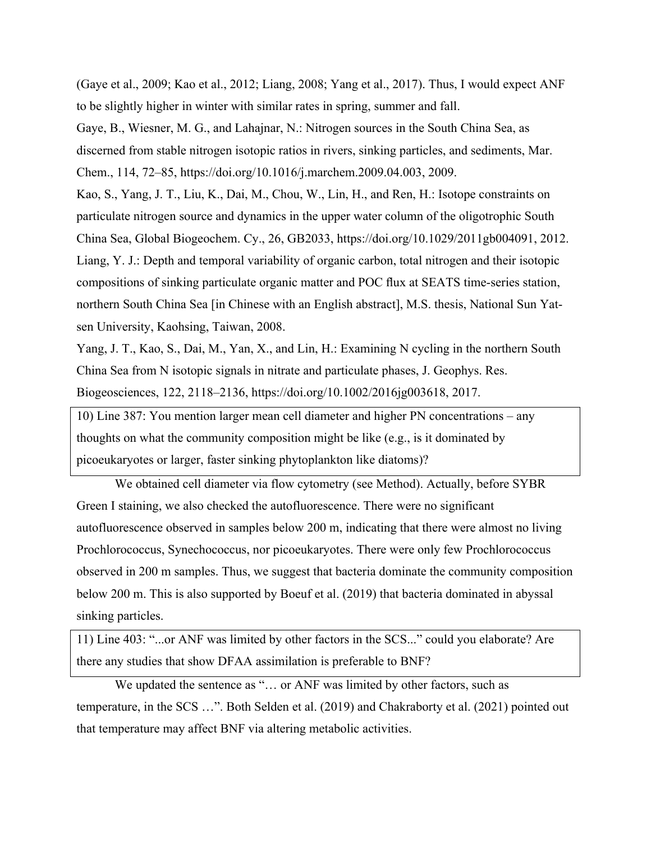(Gaye et al., 2009; Kao et al., 2012; Liang, 2008; Yang et al., 2017). Thus, I would expect ANF to be slightly higher in winter with similar rates in spring, summer and fall.

Gaye, B., Wiesner, M. G., and Lahajnar, N.: Nitrogen sources in the South China Sea, as discerned from stable nitrogen isotopic ratios in rivers, sinking particles, and sediments, Mar. Chem., 114, 72–85, https://doi.org/10.1016/j.marchem.2009.04.003, 2009.

Kao, S., Yang, J. T., Liu, K., Dai, M., Chou, W., Lin, H., and Ren, H.: Isotope constraints on particulate nitrogen source and dynamics in the upper water column of the oligotrophic South China Sea, Global Biogeochem. Cy., 26, GB2033, https://doi.org/10.1029/2011gb004091, 2012. Liang, Y. J.: Depth and temporal variability of organic carbon, total nitrogen and their isotopic compositions of sinking particulate organic matter and POC flux at SEATS time-series station, northern South China Sea [in Chinese with an English abstract], M.S. thesis, National Sun Yatsen University, Kaohsing, Taiwan, 2008.

Yang, J. T., Kao, S., Dai, M., Yan, X., and Lin, H.: Examining N cycling in the northern South China Sea from N isotopic signals in nitrate and particulate phases, J. Geophys. Res. Biogeosciences, 122, 2118–2136, https://doi.org/10.1002/2016jg003618, 2017.

10) Line 387: You mention larger mean cell diameter and higher PN concentrations – any thoughts on what the community composition might be like (e.g., is it dominated by picoeukaryotes or larger, faster sinking phytoplankton like diatoms)?

We obtained cell diameter via flow cytometry (see Method). Actually, before SYBR Green I staining, we also checked the autofluorescence. There were no significant autofluorescence observed in samples below 200 m, indicating that there were almost no living Prochlorococcus, Synechococcus, nor picoeukaryotes. There were only few Prochlorococcus observed in 200 m samples. Thus, we suggest that bacteria dominate the community composition below 200 m. This is also supported by Boeuf et al. (2019) that bacteria dominated in abyssal sinking particles.

11) Line 403: "...or ANF was limited by other factors in the SCS..." could you elaborate? Are there any studies that show DFAA assimilation is preferable to BNF?

We updated the sentence as "... or ANF was limited by other factors, such as temperature, in the SCS …". Both Selden et al. (2019) and Chakraborty et al. (2021) pointed out that temperature may affect BNF via altering metabolic activities.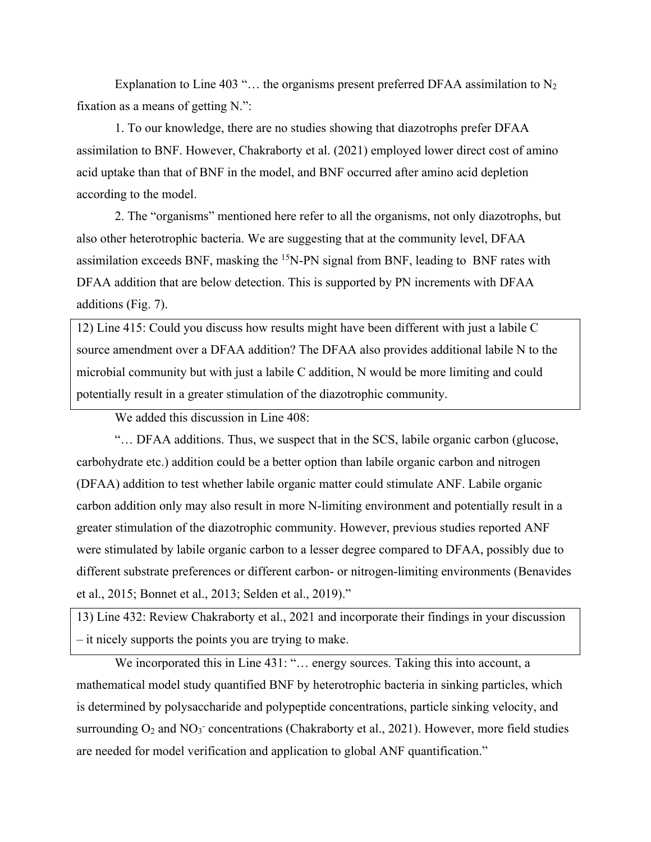Explanation to Line 403 "... the organisms present preferred DFAA assimilation to  $N_2$ fixation as a means of getting N.":

1. To our knowledge, there are no studies showing that diazotrophs prefer DFAA assimilation to BNF. However, Chakraborty et al. (2021) employed lower direct cost of amino acid uptake than that of BNF in the model, and BNF occurred after amino acid depletion according to the model.

2. The "organisms" mentioned here refer to all the organisms, not only diazotrophs, but also other heterotrophic bacteria. We are suggesting that at the community level, DFAA assimilation exceeds BNF, masking the 15N-PN signal from BNF, leading to BNF rates with DFAA addition that are below detection. This is supported by PN increments with DFAA additions (Fig. 7).

12) Line 415: Could you discuss how results might have been different with just a labile C source amendment over a DFAA addition? The DFAA also provides additional labile N to the microbial community but with just a labile C addition, N would be more limiting and could potentially result in a greater stimulation of the diazotrophic community.

We added this discussion in Line 408:

"… DFAA additions. Thus, we suspect that in the SCS, labile organic carbon (glucose, carbohydrate etc.) addition could be a better option than labile organic carbon and nitrogen (DFAA) addition to test whether labile organic matter could stimulate ANF. Labile organic carbon addition only may also result in more N-limiting environment and potentially result in a greater stimulation of the diazotrophic community. However, previous studies reported ANF were stimulated by labile organic carbon to a lesser degree compared to DFAA, possibly due to different substrate preferences or different carbon- or nitrogen-limiting environments (Benavides et al., 2015; Bonnet et al., 2013; Selden et al., 2019)."

13) Line 432: Review Chakraborty et al., 2021 and incorporate their findings in your discussion – it nicely supports the points you are trying to make.

We incorporated this in Line 431: "... energy sources. Taking this into account, a mathematical model study quantified BNF by heterotrophic bacteria in sinking particles, which is determined by polysaccharide and polypeptide concentrations, particle sinking velocity, and surrounding  $O_2$  and  $NO_3^-$  concentrations (Chakraborty et al., 2021). However, more field studies are needed for model verification and application to global ANF quantification."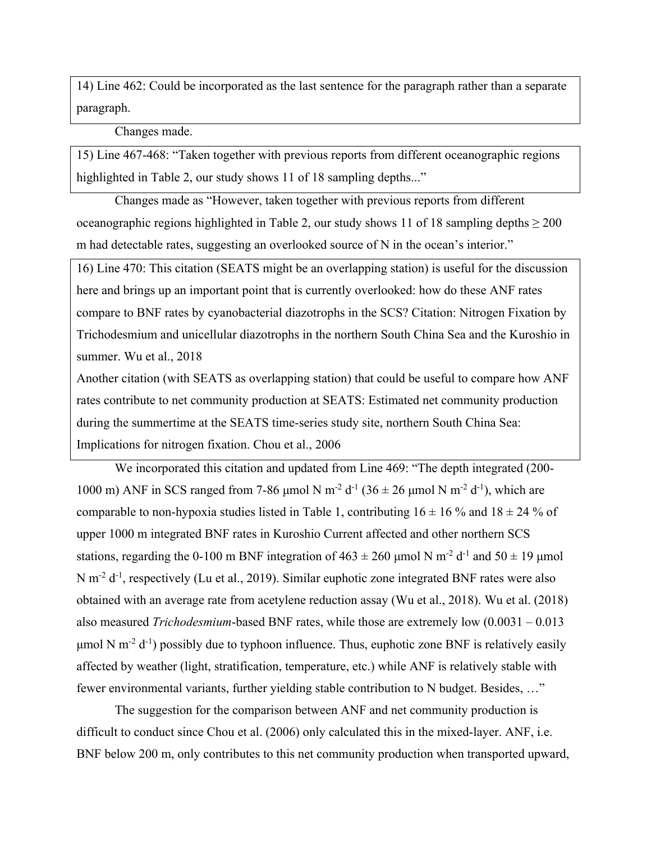14) Line 462: Could be incorporated as the last sentence for the paragraph rather than a separate paragraph.

Changes made.

15) Line 467-468: "Taken together with previous reports from different oceanographic regions highlighted in Table 2, our study shows 11 of 18 sampling depths..."

Changes made as "However, taken together with previous reports from different oceanographic regions highlighted in Table 2, our study shows 11 of 18 sampling depths  $\geq 200$ m had detectable rates, suggesting an overlooked source of N in the ocean's interior."

16) Line 470: This citation (SEATS might be an overlapping station) is useful for the discussion here and brings up an important point that is currently overlooked: how do these ANF rates compare to BNF rates by cyanobacterial diazotrophs in the SCS? Citation: Nitrogen Fixation by Trichodesmium and unicellular diazotrophs in the northern South China Sea and the Kuroshio in summer. Wu et al., 2018

Another citation (with SEATS as overlapping station) that could be useful to compare how ANF rates contribute to net community production at SEATS: Estimated net community production during the summertime at the SEATS time-series study site, northern South China Sea: Implications for nitrogen fixation. Chou et al., 2006

We incorporated this citation and updated from Line 469: "The depth integrated (200- 1000 m) ANF in SCS ranged from 7-86 μmol N m<sup>-2</sup> d<sup>-1</sup> (36 ± 26 μmol N m<sup>-2</sup> d<sup>-1</sup>), which are comparable to non-hypoxia studies listed in Table 1, contributing  $16 \pm 16$  % and  $18 \pm 24$  % of upper 1000 m integrated BNF rates in Kuroshio Current affected and other northern SCS stations, regarding the 0-100 m BNF integration of  $463 \pm 260$  µmol N m<sup>-2</sup> d<sup>-1</sup> and  $50 \pm 19$  µmol N m<sup>-2</sup> d<sup>-1</sup>, respectively (Lu et al., 2019). Similar euphotic zone integrated BNF rates were also obtained with an average rate from acetylene reduction assay (Wu et al., 2018). Wu et al. (2018) also measured *Trichodesmium*-based BNF rates, while those are extremely low (0.0031 – 0.013  $\mu$ mol N m<sup>-2</sup> d<sup>-1</sup>) possibly due to typhoon influence. Thus, euphotic zone BNF is relatively easily affected by weather (light, stratification, temperature, etc.) while ANF is relatively stable with fewer environmental variants, further yielding stable contribution to N budget. Besides, …"

The suggestion for the comparison between ANF and net community production is difficult to conduct since Chou et al. (2006) only calculated this in the mixed-layer. ANF, i.e. BNF below 200 m, only contributes to this net community production when transported upward,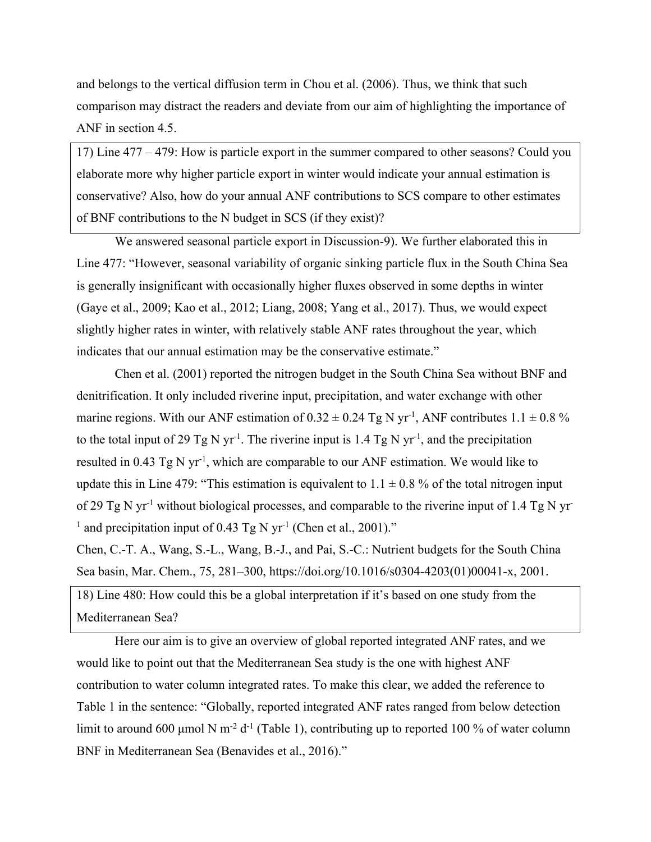and belongs to the vertical diffusion term in Chou et al. (2006). Thus, we think that such comparison may distract the readers and deviate from our aim of highlighting the importance of ANF in section 4.5.

17) Line 477 – 479: How is particle export in the summer compared to other seasons? Could you elaborate more why higher particle export in winter would indicate your annual estimation is conservative? Also, how do your annual ANF contributions to SCS compare to other estimates of BNF contributions to the N budget in SCS (if they exist)?

We answered seasonal particle export in Discussion-9). We further elaborated this in Line 477: "However, seasonal variability of organic sinking particle flux in the South China Sea is generally insignificant with occasionally higher fluxes observed in some depths in winter (Gaye et al., 2009; Kao et al., 2012; Liang, 2008; Yang et al., 2017). Thus, we would expect slightly higher rates in winter, with relatively stable ANF rates throughout the year, which indicates that our annual estimation may be the conservative estimate."

Chen et al. (2001) reported the nitrogen budget in the South China Sea without BNF and denitrification. It only included riverine input, precipitation, and water exchange with other marine regions. With our ANF estimation of  $0.32 \pm 0.24$  Tg N yr<sup>-1</sup>, ANF contributes  $1.1 \pm 0.8$  % to the total input of 29 Tg N yr<sup>-1</sup>. The riverine input is 1.4 Tg N yr<sup>-1</sup>, and the precipitation resulted in 0.43 Tg N yr<sup>-1</sup>, which are comparable to our ANF estimation. We would like to update this in Line 479: "This estimation is equivalent to  $1.1 \pm 0.8$  % of the total nitrogen input of 29 Tg N yr<sup>-1</sup> without biological processes, and comparable to the riverine input of 1.4 Tg N yr<sup>-1</sup> <sup>1</sup> and precipitation input of 0.43 Tg N yr<sup>-1</sup> (Chen et al., 2001)."

Chen, C.-T. A., Wang, S.-L., Wang, B.-J., and Pai, S.-C.: Nutrient budgets for the South China Sea basin, Mar. Chem., 75, 281–300, https://doi.org/10.1016/s0304-4203(01)00041-x, 2001.

18) Line 480: How could this be a global interpretation if it's based on one study from the Mediterranean Sea?

Here our aim is to give an overview of global reported integrated ANF rates, and we would like to point out that the Mediterranean Sea study is the one with highest ANF contribution to water column integrated rates. To make this clear, we added the reference to Table 1 in the sentence: "Globally, reported integrated ANF rates ranged from below detection limit to around 600 µmol N m<sup>-2</sup> d<sup>-1</sup> (Table 1), contributing up to reported 100 % of water column BNF in Mediterranean Sea (Benavides et al., 2016)."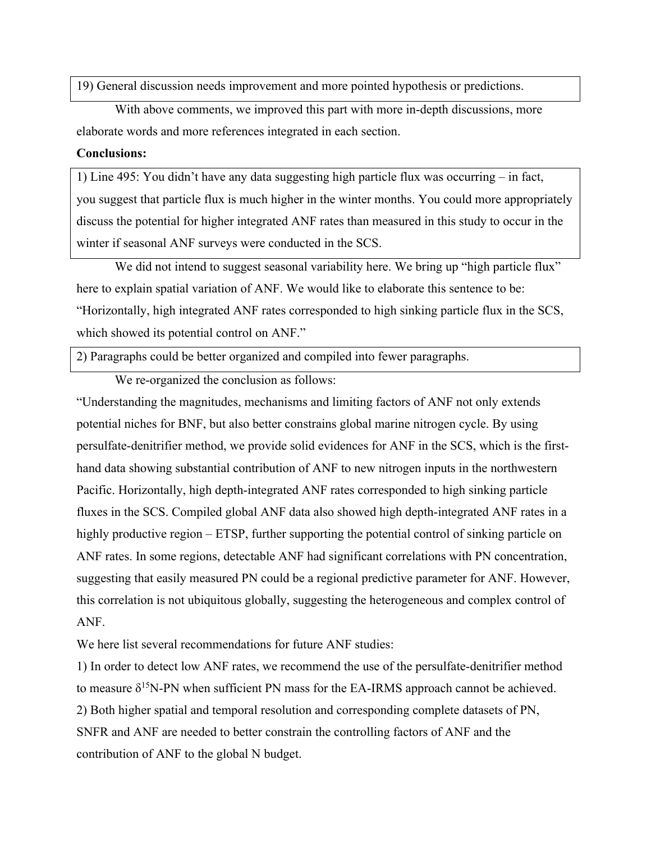19) General discussion needs improvement and more pointed hypothesis or predictions.

With above comments, we improved this part with more in-depth discussions, more elaborate words and more references integrated in each section.

#### **Conclusions:**

1) Line 495: You didn't have any data suggesting high particle flux was occurring – in fact, you suggest that particle flux is much higher in the winter months. You could more appropriately discuss the potential for higher integrated ANF rates than measured in this study to occur in the winter if seasonal ANF surveys were conducted in the SCS.

We did not intend to suggest seasonal variability here. We bring up "high particle flux" here to explain spatial variation of ANF. We would like to elaborate this sentence to be: "Horizontally, high integrated ANF rates corresponded to high sinking particle flux in the SCS, which showed its potential control on ANF."

2) Paragraphs could be better organized and compiled into fewer paragraphs.

We re-organized the conclusion as follows:

"Understanding the magnitudes, mechanisms and limiting factors of ANF not only extends potential niches for BNF, but also better constrains global marine nitrogen cycle. By using persulfate-denitrifier method, we provide solid evidences for ANF in the SCS, which is the firsthand data showing substantial contribution of ANF to new nitrogen inputs in the northwestern Pacific. Horizontally, high depth-integrated ANF rates corresponded to high sinking particle fluxes in the SCS. Compiled global ANF data also showed high depth-integrated ANF rates in a highly productive region – ETSP, further supporting the potential control of sinking particle on ANF rates. In some regions, detectable ANF had significant correlations with PN concentration, suggesting that easily measured PN could be a regional predictive parameter for ANF. However, this correlation is not ubiquitous globally, suggesting the heterogeneous and complex control of ANF.

We here list several recommendations for future ANF studies:

1) In order to detect low ANF rates, we recommend the use of the persulfate-denitrifier method to measure  $\delta^{15}N$ -PN when sufficient PN mass for the EA-IRMS approach cannot be achieved. 2) Both higher spatial and temporal resolution and corresponding complete datasets of PN, SNFR and ANF are needed to better constrain the controlling factors of ANF and the contribution of ANF to the global N budget.